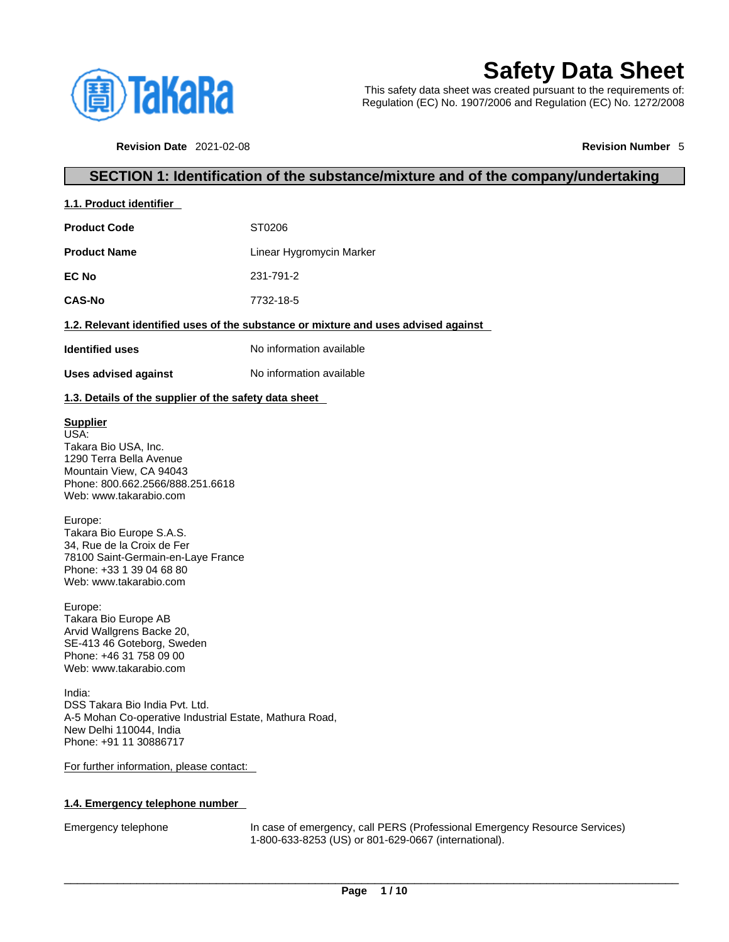

# **Safety Data Sheet**

This safety data sheet was created pursuant to the requirements of: Regulation (EC) No. 1907/2006 and Regulation (EC) No. 1272/2008

**Revision Date** 2021-02-08 **Revision Number** 5

## **SECTION 1: Identification of the substance/mixture and of the company/undertaking**

| 1.1. Product identifier |
|-------------------------|
|-------------------------|

| <b>Product Code</b> | ST0206                   |
|---------------------|--------------------------|
| <b>Product Name</b> | Linear Hygromycin Marker |

**EC No** 231-791-2

**CAS-No** 7732-18-5

## **1.2. Relevant identified uses of the substance or mixture and uses advised against**

| Identified uses | No information available |
|-----------------|--------------------------|
|                 |                          |

**Uses advised against** No information available

## **1.3. Details of the supplier of the safety data sheet**

## **Supplier**

USA: Takara Bio USA, Inc. 1290 Terra Bella Avenue Mountain View, CA 94043 Phone: 800.662.2566/888.251.6618 Web: www.takarabio.com

### Europe:

Takara Bio Europe S.A.S. 34, Rue de la Croix de Fer 78100 Saint-Germain-en-Laye France Phone: +33 1 39 04 68 80 Web: www.takarabio.com

### Europe:

Takara Bio Europe AB Arvid Wallgrens Backe 20, SE-413 46 Goteborg, Sweden Phone: +46 31 758 09 00 Web: www.takarabio.com

India: DSS Takara Bio India Pvt. Ltd. A-5 Mohan Co-operative Industrial Estate, Mathura Road, New Delhi 110044, India Phone: +91 11 30886717

## For further information, please contact:

## **1.4. Emergency telephone number**

Emergency telephone In case of emergency, call PERS (Professional Emergency Resource Services) 1-800-633-8253 (US) or 801-629-0667 (international).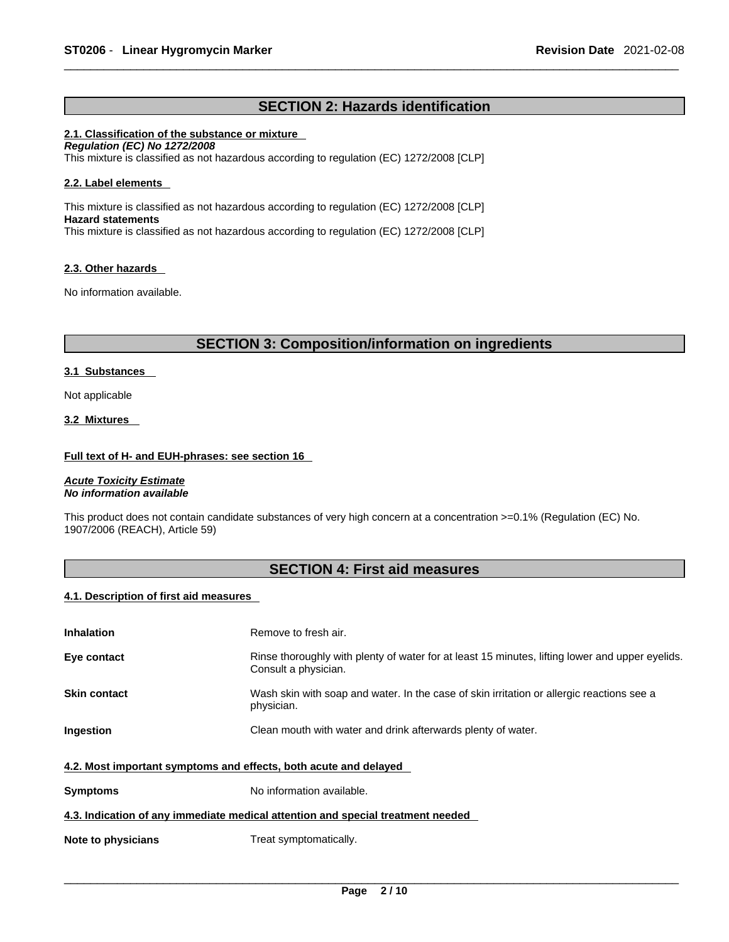## **SECTION 2: Hazards identification**

## **2.1. Classification of the substance or mixture**

*Regulation (EC) No 1272/2008*  This mixture is classified as not hazardous according to regulation (EC) 1272/2008 [CLP]

## **2.2. Label elements**

This mixture is classified as not hazardous according to regulation (EC) 1272/2008 [CLP] **Hazard statements** This mixture is classified as not hazardous according to regulation (EC) 1272/2008 [CLP]

## **2.3. Other hazards**

No information available.

## **SECTION 3: Composition/information on ingredients**

## **3.1 Substances**

Not applicable

### **3.2 Mixtures**

## **Full text of H- and EUH-phrases: see section 16**

*Acute Toxicity Estimate No information available* 

This product does not contain candidate substances of very high concern at a concentration >=0.1% (Regulation (EC) No. 1907/2006 (REACH), Article 59)

## **SECTION 4: First aid measures**

## **4.1. Description of first aid measures**

| Inhalation                                                                      | Remove to fresh air.                                                                                                    |  |  |
|---------------------------------------------------------------------------------|-------------------------------------------------------------------------------------------------------------------------|--|--|
| Eye contact                                                                     | Rinse thoroughly with plenty of water for at least 15 minutes, lifting lower and upper eyelids.<br>Consult a physician. |  |  |
| <b>Skin contact</b>                                                             | Wash skin with soap and water. In the case of skin irritation or allergic reactions see a<br>physician.                 |  |  |
| Ingestion                                                                       | Clean mouth with water and drink afterwards plenty of water.                                                            |  |  |
| 4.2. Most important symptoms and effects, both acute and delayed                |                                                                                                                         |  |  |
| <b>Symptoms</b>                                                                 | No information available.                                                                                               |  |  |
| 4.3. Indication of any immediate medical attention and special treatment needed |                                                                                                                         |  |  |
| Note to physicians                                                              | Treat symptomatically.                                                                                                  |  |  |
|                                                                                 |                                                                                                                         |  |  |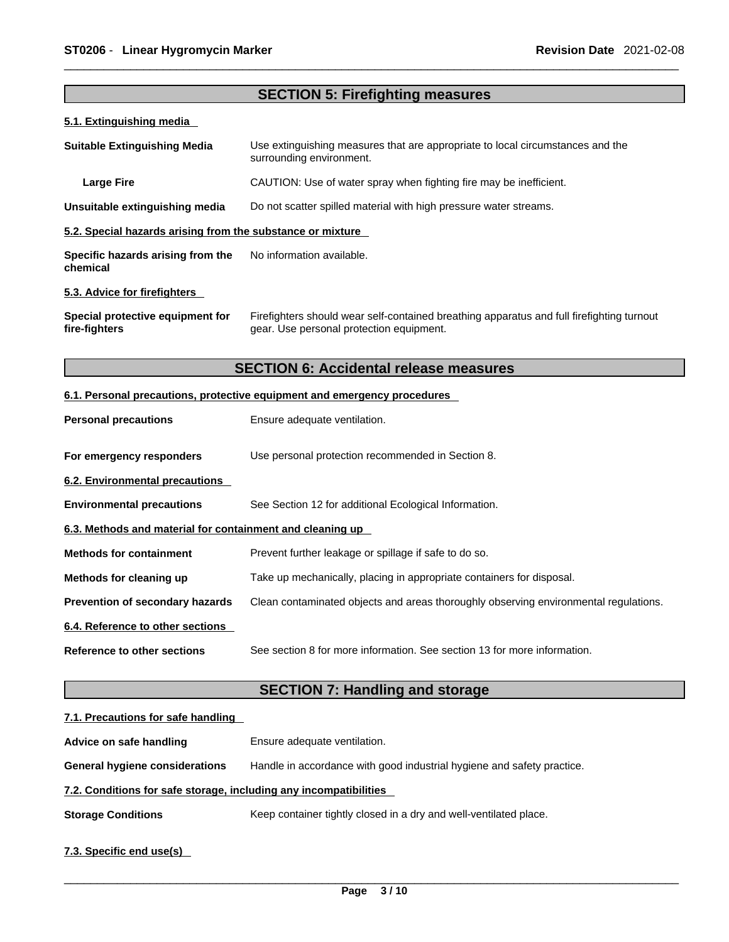## **SECTION 5: Firefighting measures 5.1. Extinguishing media Suitable Extinguishing Media** Use extinguishing measures that are appropriate to local circumstances and the surrounding environment. **Large Fire Example 20** CAUTION: Use of water spray when fighting fire may be inefficient. **Unsuitable extinguishing media** Do not scatter spilled material with high pressure water streams. **5.2. Special hazards arising from the substance or mixture Specific hazards arising from the chemical** No information available. **5.3. Advice for firefighters Special protective equipment for fire-fighters** Firefighters should wear self-contained breathing apparatus and full firefighting turnout gear. Use personal protection equipment. **SECTION 6: Accidental release measures 6.1. Personal precautions, protective equipment and emergency procedures Personal precautions** Ensure adequate ventilation. **For emergency responders** Use personal protection recommended in Section 8. **6.2. Environmental precautions Environmental precautions** See Section 12 for additional Ecological Information. **6.3. Methods and material for containment and cleaning up Methods for containment** Prevent further leakage or spillage if safe to do so. **Methods for cleaning up** Take up mechanically, placing in appropriate containers for disposal. **Prevention of secondary hazards** Clean contaminated objects and areas thoroughly observing environmental regulations. **6.4. Reference to other sections Reference to other sections** See section 8 for more information. See section 13 for more information. **SECTION 7: Handling and storage**

## **7.1. Precautions for safe handling**

| Advice on safe handling                                           | Ensure adequate ventilation.                                           |  |  |
|-------------------------------------------------------------------|------------------------------------------------------------------------|--|--|
| <b>General hygiene considerations</b>                             | Handle in accordance with good industrial hygiene and safety practice. |  |  |
| 7.2. Conditions for safe storage, including any incompatibilities |                                                                        |  |  |
| <b>Storage Conditions</b>                                         | Keep container tightly closed in a dry and well-ventilated place.      |  |  |
| 7.3. Specific end use(s)                                          |                                                                        |  |  |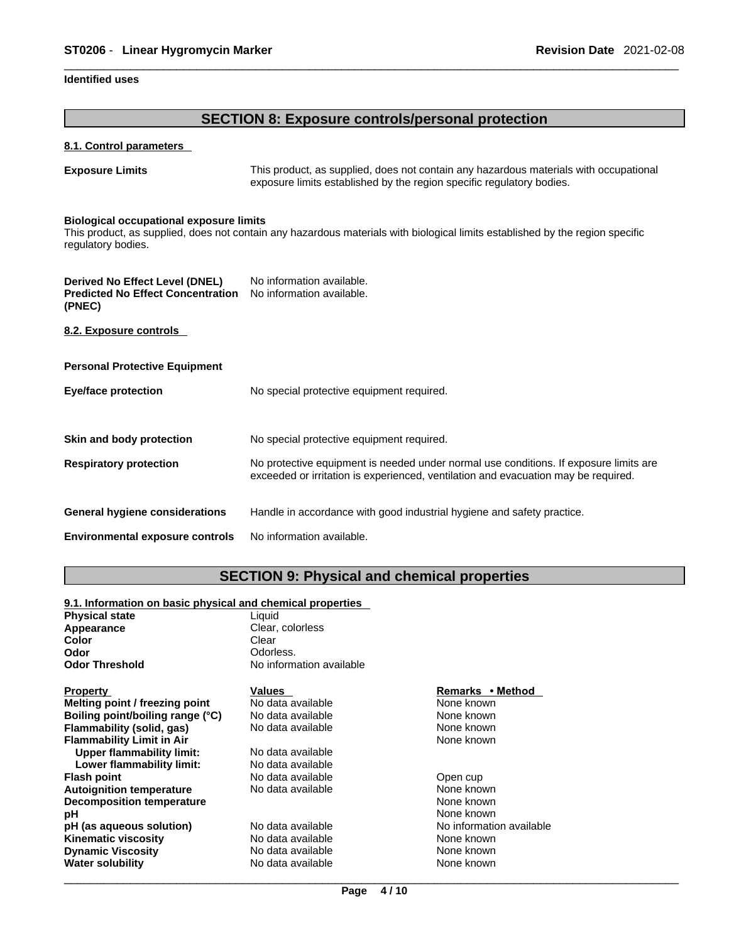## **Identified uses**

## **SECTION 8: Exposure controls/personal protection**

## **8.1. Control parameters**

**Exposure Limits** This product, as supplied, does not contain any hazardous materials with occupational exposure limits established by the region specific regulatory bodies.

#### **Biological occupational exposure limits**

This product, as supplied, does not contain any hazardous materials with biological limits established by the region specific regulatory bodies.

| Derived No Effect Level (DNEL)<br><b>Predicted No Effect Concentration</b><br>(PNEC) | No information available.<br>No information available.                                                                                                                      |
|--------------------------------------------------------------------------------------|-----------------------------------------------------------------------------------------------------------------------------------------------------------------------------|
| 8.2. Exposure controls                                                               |                                                                                                                                                                             |
| <b>Personal Protective Equipment</b>                                                 |                                                                                                                                                                             |
| Eye/face protection                                                                  | No special protective equipment required.                                                                                                                                   |
| Skin and body protection                                                             | No special protective equipment required.                                                                                                                                   |
| <b>Respiratory protection</b>                                                        | No protective equipment is needed under normal use conditions. If exposure limits are<br>exceeded or irritation is experienced, ventilation and evacuation may be required. |
| <b>General hygiene considerations</b>                                                | Handle in accordance with good industrial hygiene and safety practice.                                                                                                      |
| <b>Environmental exposure controls</b>                                               | No information available.                                                                                                                                                   |

## **SECTION 9: Physical and chemical properties**

## **9.1. Information on basic physical and chemical properties**

| <b>Physical state</b>            | Liquid                   |                          |  |
|----------------------------------|--------------------------|--------------------------|--|
| Appearance                       | Clear, colorless         |                          |  |
| Color                            | Clear                    |                          |  |
| Odor                             | Odorless.                |                          |  |
| <b>Odor Threshold</b>            | No information available |                          |  |
| <b>Property</b>                  | Values                   | Remarks • Method         |  |
| Melting point / freezing point   | No data available        | None known               |  |
| Boiling point/boiling range (°C) | No data available        | None known               |  |
| Flammability (solid, gas)        | No data available        | None known               |  |
| <b>Flammability Limit in Air</b> |                          | None known               |  |
| Upper flammability limit:        | No data available        |                          |  |
| Lower flammability limit:        | No data available        |                          |  |
| <b>Flash point</b>               | No data available        | Open cup                 |  |
| <b>Autoignition temperature</b>  | No data available        | None known               |  |
| <b>Decomposition temperature</b> |                          | None known               |  |
| рH                               |                          | None known               |  |
| pH (as aqueous solution)         | No data available        | No information available |  |
| <b>Kinematic viscosity</b>       | No data available        | None known               |  |
| <b>Dynamic Viscosity</b>         | No data available        | None known               |  |
| <b>Water solubility</b>          | No data available        | None known               |  |
|                                  |                          |                          |  |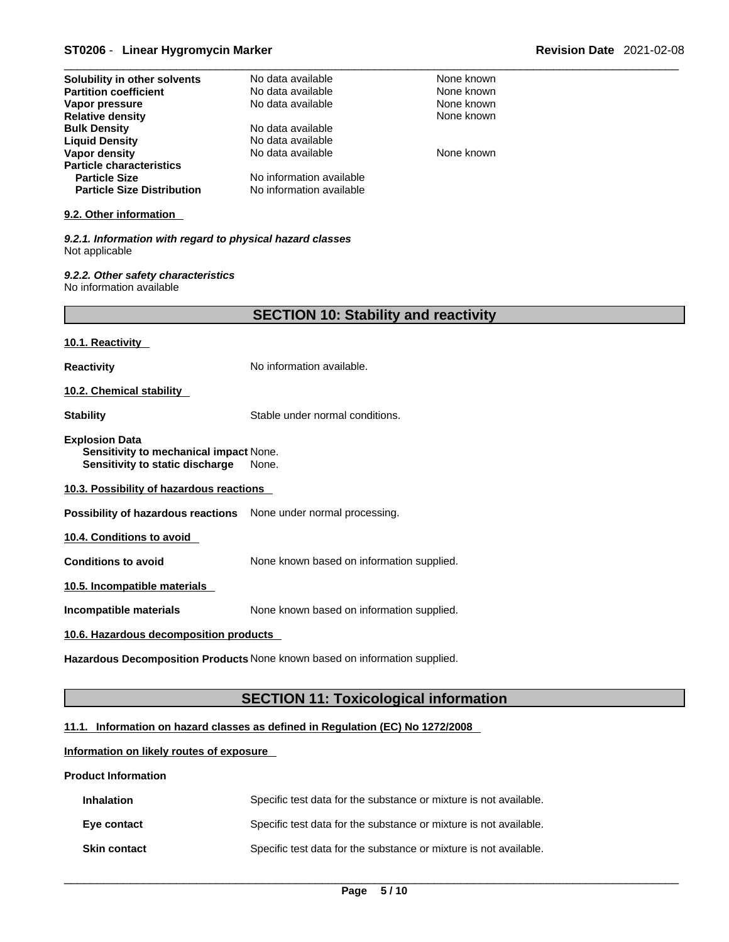## \_\_\_\_\_\_\_\_\_\_\_\_\_\_\_\_\_\_\_\_\_\_\_\_\_\_\_\_\_\_\_\_\_\_\_\_\_\_\_\_\_\_\_\_\_\_\_\_\_\_\_\_\_\_\_\_\_\_\_\_\_\_\_\_\_\_\_\_\_\_\_\_\_\_\_\_\_\_\_\_\_\_\_\_\_\_\_\_\_\_\_\_\_ **ST0206** - **Linear Hygromycin Marker Revision Date** 2021-02-08

| Solubility in other solvents                                                                              | No data available                            | None known |
|-----------------------------------------------------------------------------------------------------------|----------------------------------------------|------------|
| <b>Partition coefficient</b>                                                                              | No data available                            | None known |
| Vapor pressure                                                                                            | No data available                            | None known |
| <b>Relative density</b>                                                                                   |                                              | None known |
| <b>Bulk Density</b>                                                                                       | No data available                            |            |
| <b>Liquid Density</b>                                                                                     | No data available                            |            |
| <b>Vapor density</b>                                                                                      | No data available                            | None known |
| <b>Particle characteristics</b><br><b>Particle Size</b>                                                   | No information available                     |            |
| <b>Particle Size Distribution</b>                                                                         | No information available                     |            |
| 9.2. Other information                                                                                    |                                              |            |
| 9.2.1. Information with regard to physical hazard classes<br>Not applicable                               |                                              |            |
| 9.2.2. Other safety characteristics<br>No information available                                           |                                              |            |
|                                                                                                           | <b>SECTION 10: Stability and reactivity</b>  |            |
| 10.1. Reactivity                                                                                          |                                              |            |
| <b>Reactivity</b>                                                                                         | No information available.                    |            |
| 10.2. Chemical stability                                                                                  |                                              |            |
| <b>Stability</b>                                                                                          | Stable under normal conditions.              |            |
| <b>Explosion Data</b><br><b>Sensitivity to mechanical impact None.</b><br>Sensitivity to static discharge | None.                                        |            |
| 10.3. Possibility of hazardous reactions                                                                  |                                              |            |
| Possibility of hazardous reactions None under normal processing.                                          |                                              |            |
| 10.4. Conditions to avoid                                                                                 |                                              |            |
| <b>Conditions to avoid</b>                                                                                | None known based on information supplied.    |            |
| 10.5. Incompatible materials                                                                              |                                              |            |
| Incompatible materials                                                                                    | None known based on information supplied.    |            |
| 10.6. Hazardous decomposition products                                                                    |                                              |            |
| Hazardous Decomposition Products None known based on information supplied.                                |                                              |            |
|                                                                                                           | <b>SECTION 11: Toxicological information</b> |            |
|                                                                                                           |                                              |            |

## **11.1. Information on hazard classes as defined in Regulation (EC) No 1272/2008**

## **Information on likely routes of exposure**

#### **Product Information**

| <b>Inhalation</b>   | Specific test data for the substance or mixture is not available. |
|---------------------|-------------------------------------------------------------------|
| Eye contact         | Specific test data for the substance or mixture is not available. |
| <b>Skin contact</b> | Specific test data for the substance or mixture is not available. |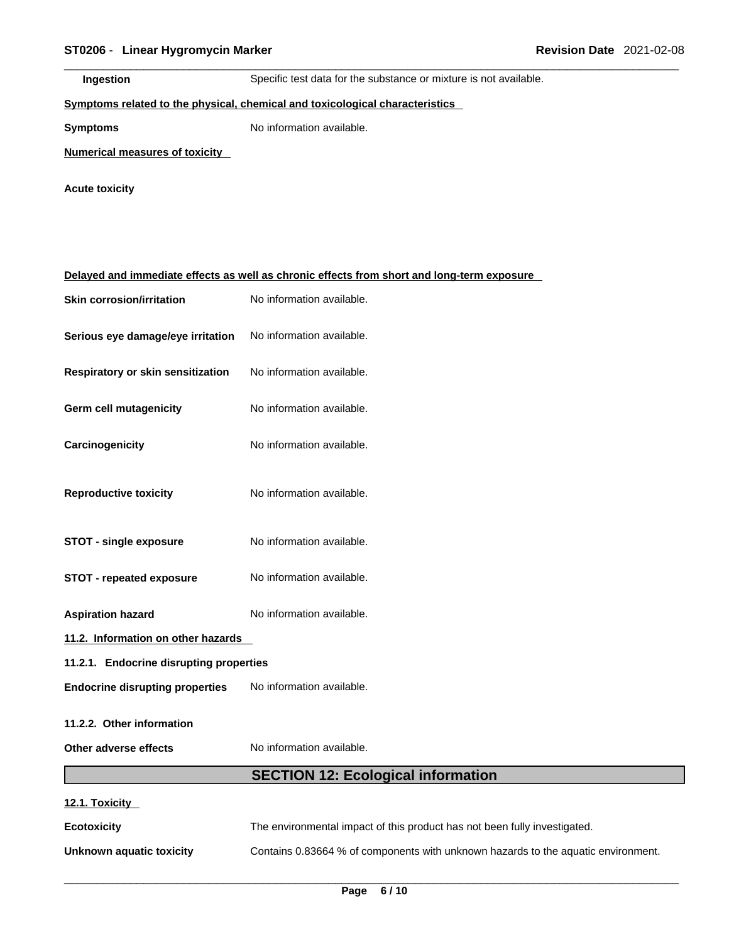| Ingestion                                                                                  | Specific test data for the substance or mixture is not available. |  |  |
|--------------------------------------------------------------------------------------------|-------------------------------------------------------------------|--|--|
| Symptoms related to the physical, chemical and toxicological characteristics               |                                                                   |  |  |
| <b>Symptoms</b>                                                                            | No information available.                                         |  |  |
| <b>Numerical measures of toxicity</b>                                                      |                                                                   |  |  |
| <b>Acute toxicity</b>                                                                      |                                                                   |  |  |
|                                                                                            |                                                                   |  |  |
|                                                                                            |                                                                   |  |  |
| Delayed and immediate effects as well as chronic effects from short and long-term exposure |                                                                   |  |  |
| <b>Skin corrosion/irritation</b>                                                           | No information available.                                         |  |  |
| Serious eye damage/eye irritation                                                          | No information available.                                         |  |  |
|                                                                                            |                                                                   |  |  |

| Respiratory or skin sensitization<br>Germ cell mutagenicity | No information available.<br>No information available. |  |
|-------------------------------------------------------------|--------------------------------------------------------|--|
| Carcinogenicity                                             | No information available.                              |  |
| <b>Reproductive toxicity</b>                                | No information available.                              |  |
| <b>STOT - single exposure</b>                               | No information available.                              |  |
| <b>STOT - repeated exposure</b>                             | No information available.                              |  |
| <b>Aspiration hazard</b>                                    | No information available.                              |  |
| 11.2. Information on other hazards                          |                                                        |  |
| 11.2.1. Endocrine disrupting properties                     |                                                        |  |
| <b>Endocrine disrupting properties</b>                      | No information available.                              |  |
| 11.2.2. Other information                                   |                                                        |  |
| Other adverse effects                                       | No information available.                              |  |
|                                                             |                                                        |  |
|                                                             | <b>SECTION 12: Ecological information</b>              |  |

## **Ecotoxicity** The environmental impact of this product has not been fully investigated.

**Unknown aquatic toxicity** Contains 0.83664 % of components with unknown hazards to the aquatic environment.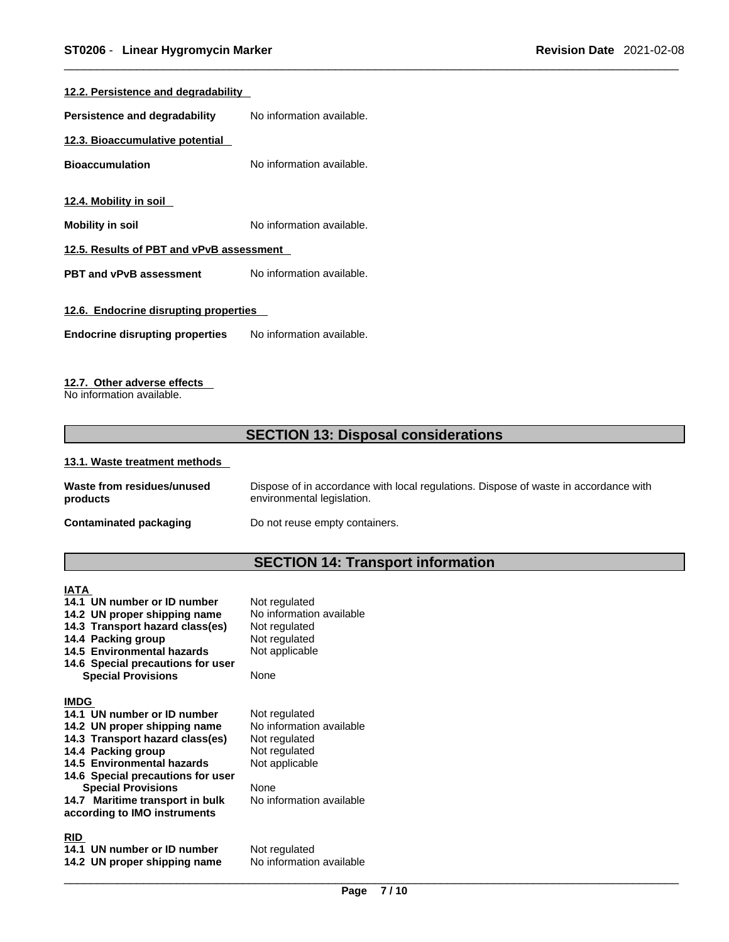| 12.2. Persistence and degradability      |                           |  |
|------------------------------------------|---------------------------|--|
| Persistence and degradability            | No information available. |  |
| 12.3. Bioaccumulative potential          |                           |  |
| <b>Bioaccumulation</b>                   | No information available. |  |
|                                          |                           |  |
| 12.4. Mobility in soil                   |                           |  |
| <b>Mobility in soil</b>                  | No information available. |  |
| 12.5. Results of PBT and vPvB assessment |                           |  |
| <b>PBT and vPvB assessment</b>           | No information available. |  |
|                                          |                           |  |
| 12.6. Endocrine disrupting properties    |                           |  |
| <b>Endocrine disrupting properties</b>   | No information available. |  |
|                                          |                           |  |

## **12.7. Other adverse effects**

No information available.

## **SECTION 13: Disposal considerations**

#### **13.1. Waste treatment methods**

| Waste from residues/unused    | Dispose of in accordance with local regulations. Dispose of waste in accordance with |
|-------------------------------|--------------------------------------------------------------------------------------|
| products                      | environmental legislation.                                                           |
| <b>Contaminated packaging</b> | Do not reuse empty containers.                                                       |

## **SECTION 14: Transport information**

## **IATA**

**14.1 UN number or ID number** Not regulated<br>**14.2 UN proper shipping name** No information available **14.2 UN proper shipping name** No information<br>**14.3 Transport hazard class(es)** Not regulated **14.3 Transport hazard class(es)** Not regulated **14.4 Packing group** Not regulated **14.4 Packing group** 14.5 Environmental hazards Not applicable **14.6 Special precautions for user Special Provisions** None **IMDG 14.1 UN number or ID number** Not regulated<br>**14.2 UN proper shipping name** No information available **14.2 UN proper shipping name** No information<br>**14.3 Transport hazard class(es)** Not regulated **14.3 Transport hazard class(es) 14.4 Packing group Mot regulated** 14.5 Environmental hazards Not applicable **14.6 Special precautions for user Special Provisions** None **14.7 Maritime transport in bulk according to IMO instruments RID 14.1 UN number or ID number** Not regulated<br>**14.2 UN proper shipping name** No information available **14.2 UN proper shipping name** 

No information available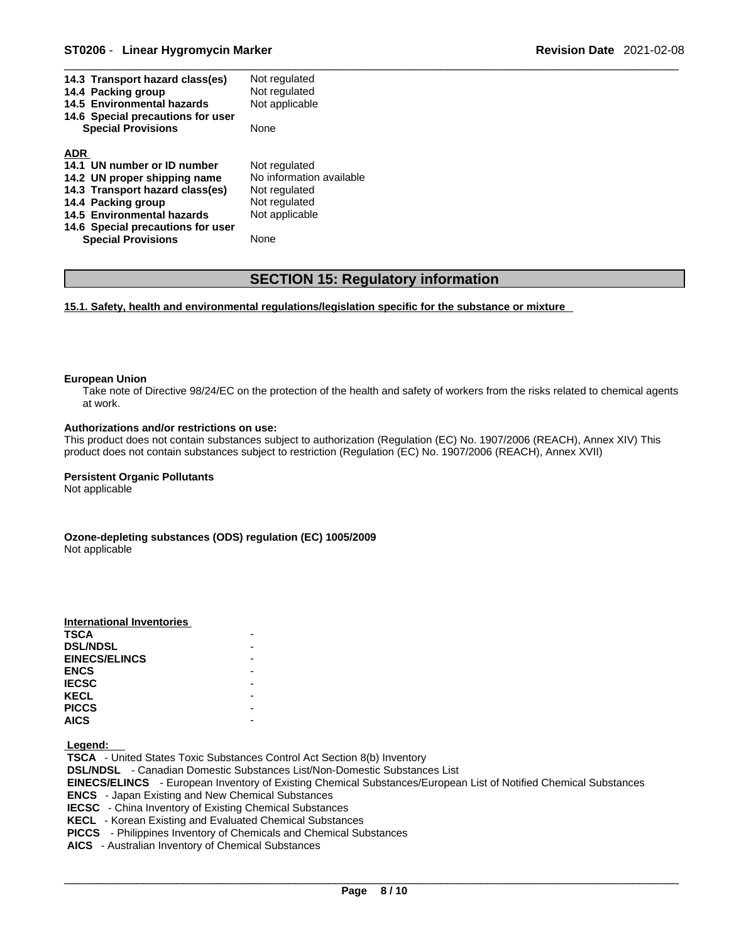| Not regulated<br>14.3 Transport hazard class(es)         |  |
|----------------------------------------------------------|--|
| Not regulated<br>14.4 Packing group                      |  |
| Not applicable<br>14.5 Environmental hazards             |  |
| 14.6 Special precautions for user                        |  |
| <b>Special Provisions</b><br>None                        |  |
|                                                          |  |
| <b>ADR</b>                                               |  |
| 14.1 UN number or ID number<br>Not regulated             |  |
| No information available<br>14.2 UN proper shipping name |  |
| 14.3 Transport hazard class(es)<br>Not regulated         |  |
| 14.4 Packing group<br>Not regulated                      |  |
|                                                          |  |
| 14.5 Environmental hazards<br>Not applicable             |  |
| 14.6 Special precautions for user                        |  |

## **SECTION 15: Regulatory information**

**15.1. Safety, health and environmental regulations/legislation specific for the substance or mixture**

#### **European Union**

Take note of Directive 98/24/EC on the protection of the health and safety of workers from the risks related to chemical agents at work.

#### **Authorizations and/or restrictions on use:**

This product does not contain substances subject to authorization (Regulation (EC) No. 1907/2006 (REACH), Annex XIV) This product does not contain substances subject to restriction (Regulation (EC) No. 1907/2006 (REACH), Annex XVII)

#### **Persistent Organic Pollutants**

Not applicable

**Ozone-depleting substances (ODS) regulation (EC) 1005/2009** Not applicable

| International Inventories |  |
|---------------------------|--|
| <b>TSCA</b>               |  |
| <b>DSL/NDSL</b>           |  |
| <b>EINECS/ELINCS</b>      |  |
| <b>ENCS</b>               |  |
| <b>IECSC</b>              |  |
| <b>KECL</b>               |  |
| <b>PICCS</b>              |  |
| <b>AICS</b>               |  |

 **Legend:** 

 **TSCA** - United States Toxic Substances Control Act Section 8(b) Inventory  **DSL/NDSL** - Canadian Domestic Substances List/Non-Domestic Substances List  **EINECS/ELINCS** - European Inventory of Existing Chemical Substances/European List of Notified Chemical Substances  **ENCS** - Japan Existing and New Chemical Substances  **IECSC** - China Inventory of Existing Chemical Substances  **KECL** - Korean Existing and Evaluated Chemical Substances  **PICCS** - Philippines Inventory of Chemicals and Chemical Substances  **AICS** - Australian Inventory of Chemical Substances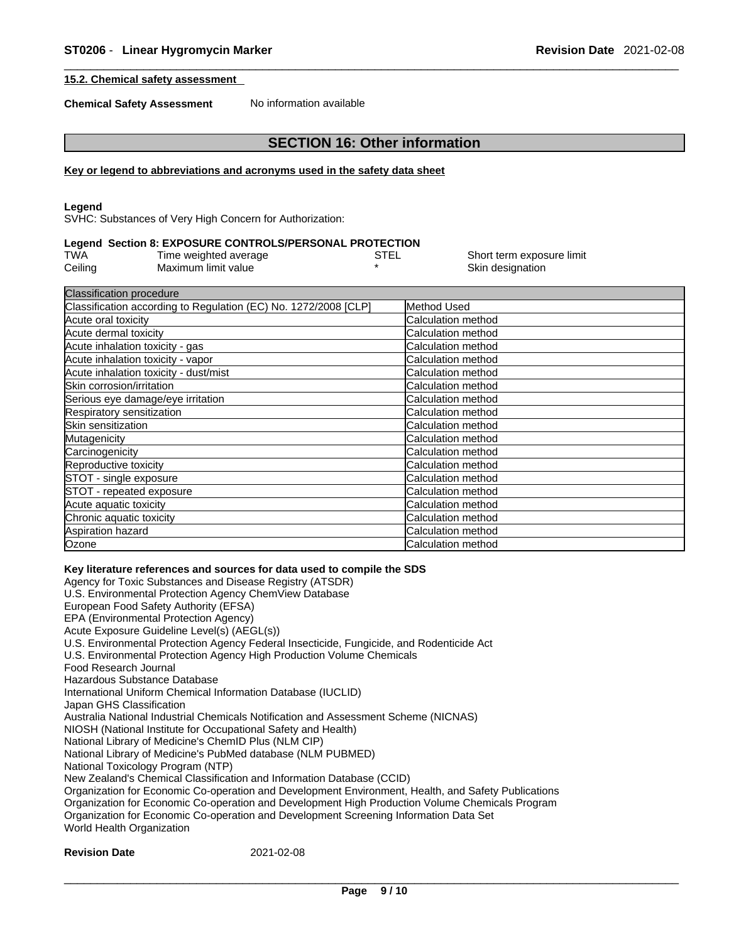## **15.2. Chemical safety assessment**

**Chemical Safety Assessment** No information available

## **SECTION 16: Other information**

#### **Key or legend to abbreviations and acronyms used in the safety data sheet**

#### **Legend**

SVHC: Substances of Very High Concern for Authorization:

#### **Legend Section 8: EXPOSURE CONTROLS/PERSONAL PROTECTION**

| TWA     | Time weighted average | STEL | Short term exposure limit |
|---------|-----------------------|------|---------------------------|
| Ceiling | Maximum limit value   |      | Skin designation          |

| Classification procedure                                        |                           |  |  |  |
|-----------------------------------------------------------------|---------------------------|--|--|--|
| Classification according to Regulation (EC) No. 1272/2008 [CLP] | Method Used               |  |  |  |
| Acute oral toxicity                                             | Calculation method        |  |  |  |
| Acute dermal toxicity                                           | Calculation method        |  |  |  |
| Acute inhalation toxicity - gas                                 | Calculation method        |  |  |  |
| Acute inhalation toxicity - vapor                               | Calculation method        |  |  |  |
| Acute inhalation toxicity - dust/mist                           | Calculation method        |  |  |  |
| Skin corrosion/irritation                                       | Calculation method        |  |  |  |
| Serious eye damage/eye irritation                               | Calculation method        |  |  |  |
| Respiratory sensitization                                       | Calculation method        |  |  |  |
| Skin sensitization                                              | <b>Calculation method</b> |  |  |  |
| Mutagenicity                                                    | <b>Calculation method</b> |  |  |  |
| Carcinogenicity                                                 | Calculation method        |  |  |  |
| Reproductive toxicity                                           | Calculation method        |  |  |  |
| STOT - single exposure                                          | Calculation method        |  |  |  |
| STOT - repeated exposure                                        | <b>Calculation method</b> |  |  |  |
| Acute aquatic toxicity                                          | Calculation method        |  |  |  |
| Chronic aquatic toxicity                                        | Calculation method        |  |  |  |
| Aspiration hazard                                               | <b>Calculation method</b> |  |  |  |
| Ozone                                                           | <b>Calculation method</b> |  |  |  |

## **Key literature references and sources for data used to compile the SDS**

Agency for Toxic Substances and Disease Registry (ATSDR) U.S. Environmental Protection Agency ChemView Database European Food Safety Authority (EFSA) EPA (Environmental Protection Agency) Acute Exposure Guideline Level(s) (AEGL(s)) U.S. Environmental Protection Agency Federal Insecticide, Fungicide, and Rodenticide Act U.S. Environmental Protection Agency High Production Volume Chemicals Food Research Journal Hazardous Substance Database International Uniform Chemical Information Database (IUCLID) Japan GHS Classification Australia National Industrial Chemicals Notification and Assessment Scheme (NICNAS) NIOSH (National Institute for Occupational Safety and Health) National Library of Medicine's ChemID Plus (NLM CIP) National Library of Medicine's PubMed database (NLM PUBMED) National Toxicology Program (NTP) New Zealand's Chemical Classification and Information Database (CCID) Organization for Economic Co-operation and Development Environment, Health, and Safety Publications Organization for Economic Co-operation and Development High Production Volume Chemicals Program Organization for Economic Co-operation and Development Screening Information Data Set World Health Organization

#### **Revision Date** 2021-02-08